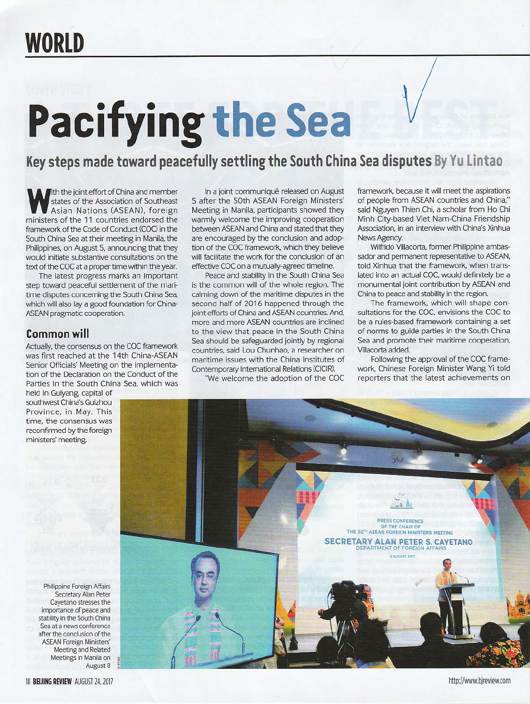## **Pacifying the Sea**

Key steps made toward peacefully settling the South China Sea disputes By Yu Lintao

Tith the joint effort of China and member states of the Association of Southeast Asian Nations (ASEAN), foreign ministers of the 11 countries endorsed the framework of the Code of Conduct (COC) in the South China Sea at their meeting in Manila, the Philippines, on August 5, announcing that they would initiate substantive consultations on the text of the COC at a proper time within the year.

The latest progress marks an important step toward peaceful settlement of the maritime disputes concerning the South China Sea, which will also lay a good foundation for China-ASEAN pragmatic cooperation.

## **Common will**

Actually, the consensus on the COC framework was first reached at the 14th China-ASEAN Senior Officials' Meeting on the implementation of the Declaration on the Conduct of the Parties in the South China Sea, which was

held in Guiyang, capital of southwest China's Guizhou Province, in May. This time, the consensus was reconfirmed by the foreign ministers' meeting.

In a joint communiqué released on August 5 after the 50th ASEAN Foreign Ministers' Meeting in Manila, participants showed they warmly welcome the improving cooperation between ASEAN and China and stated that they are encouraged by the conclusion and adoption of the COC framework, which they believe will facilitate the work for the conclusion of an effective COC on a mutually-agreed timeline.

Peace and stability in the South China Sea is the common will of the whole region. The calming down of the maritime disputes in the second half of 2016 happened through the joint efforts of China and ASEAN countries. And, more and more ASEAN countries are inclined to the view that peace in the South China Sea should be safeguarded jointly by regional countries, said Lou Chunhao, a researcher on maritime issues with the China Institutes of Contemporary International Relations (CICIR).

"We welcome the adoption of the COC

framework, because it will meet the aspirations of people from ASEAN countries and China," said Nguyen Thien Chi, a scholar from Ho Chi Minh City-based Viet Nam-China Friendship Association, in an interview with China's Xinhua News Agency.

Wilfrido Villacorta, former Philippine ambassador and permanent representative to ASEAN, told Xinhua that the framework, when translated into an actual COC, would definitely be a monumental joint contribution by ASEAN and China to peace and stability in the region.

The framework, which will shape consultations for the COC, envisions the COC to be a rules-based framework containing a set of norms to guide parties in the South China Sea and promote their maritime cooperation, Villacorta added.

Following the approval of the COC framework, Chinese Foreign Minister Wang Yi told reporters that the latest achievements on



Philippine Foreign Affairs Secretary Alan Peter Cayetano stresses the importance of peace and stability in the South China Sea at a news conference after the conclusion of the **ASEAN Foreign Ministers'** Meeting and Related Meetings in Manila on August 8

http://www.bjreview.com